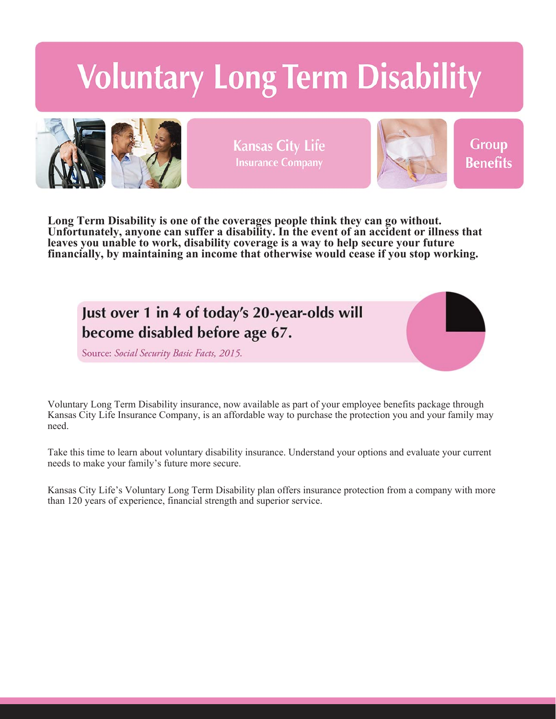# **Voluntary Long Term Disability**



**Kansas City Life Insurance Company** 



Group **Benefits** 

**Long Term Disability is one of the coverages people think they can go without. Unfortunately, anyone can suffer a disability. In the event of an accident or illness that leaves you unable to work, disability coverage is a way to help secure your future financially, by maintaining an income that otherwise would cease if you stop working.**

Just over 1 in 4 of today's 20-year-olds will become disabled before age 67.

Source: Social Security Basic Facts, 2015.

Voluntary Long Term Disability insurance, now available as part of your employee benefits package through Kansas City Life Insurance Company, is an affordable way to purchase the protection you and your family may need.

Take this time to learn about voluntary disability insurance. Understand your options and evaluate your current needs to make your family's future more secure.

Kansas City Life's Voluntary Long Term Disability plan offers insurance protection from a company with more than 120 years of experience, financial strength and superior service.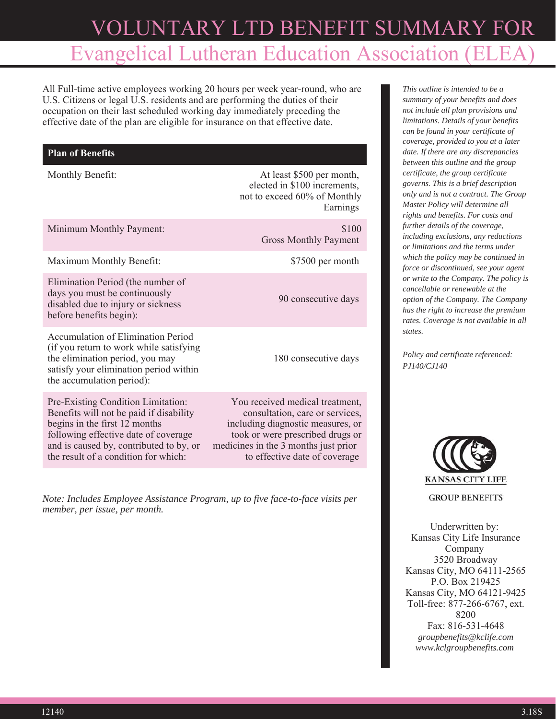## VOLUNTARY LTD BENEFIT SUMMARY FOR Evangelical Lutheran Education Association (EL

All Full-time active employees working 20 hours per week year-round, who are U.S. Citizens or legal U.S. residents and are performing the duties of their occupation on their last scheduled working day immediately preceding the effective date of the plan are eligible for insurance on that effective date.

### **Plan of Benefits**

Accumulation of Elimination Period (if you return to work while satisfying the elimination period, you may satisfy your elimination period within

Pre-Existing Condition Limitation: Benefits will not be paid if disability

following effective date of coverage and is caused by, contributed to by, or the result of a condition for which:

the accumulation period):

begins in the first 12 months

Monthly Benefit: At least \$500 per month, elected in \$100 increments, not to exceed 60% of Monthly Earnings

| Minimum Monthly Payment:                                                                                                            | \$100<br><b>Gross Monthly Payment</b> |
|-------------------------------------------------------------------------------------------------------------------------------------|---------------------------------------|
| Maximum Monthly Benefit:                                                                                                            | \$7500 per month                      |
| Elimination Period (the number of<br>days you must be continuously<br>disabled due to injury or sickness<br>before benefits begin): | 90 consecutive days                   |

180 consecutive days

You received medical treatment, consultation, care or services, including diagnostic measures, or took or were prescribed drugs or medicines in the 3 months just prior to effective date of coverage

*Note: Includes Employee Assistance Program, up to five face-to-face visits per member, per issue, per month.*

*This outline is intended to be a summary of your benefits and does not include all plan provisions and limitations. Details of your benefits can be found in your certificate of coverage, provided to you at a later date. If there are any discrepancies between this outline and the group certificate, the group certificate governs. This is a brief description only and is not a contract. The Group Master Policy will determine all rights and benefits. For costs and further details of the coverage, including exclusions, any reductions or limitations and the terms under which the policy may be continued in force or discontinued, see your agent or write to the Company. The policy is cancellable or renewable at the option of the Company. The Company has the right to increase the premium rates. Coverage is not available in all states.*

*Policy and certificate referenced: PJ140/CJ140*



**GROUP BENEFITS** 

Underwritten by: Kansas City Life Insurance Company 3520 Broadway Kansas City, MO 64111-2565 P.O. Box 219425 Kansas City, MO 64121-9425 Toll-free: 877-266-6767, ext. 8200 Fax: 816-531-4648 *groupbenefits@kclife.com www.kclgroupbenefits.com*